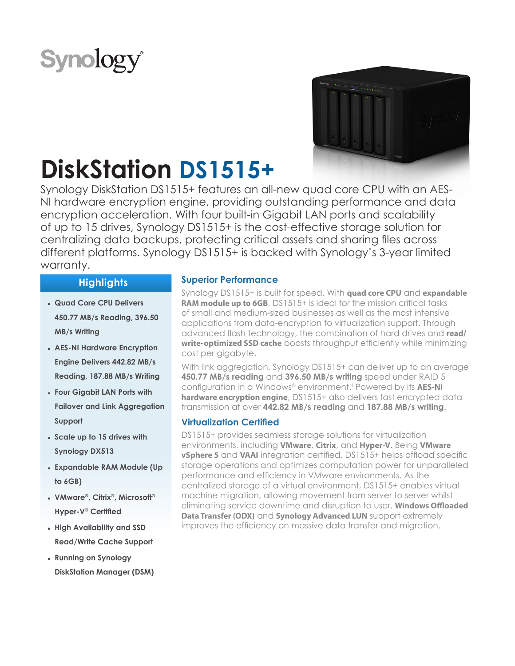# **Synology**



# **DiskStation DS1515+**

Synology DiskStation DS1515+ features an all-new quad core CPU with an AES-NI hardware encryption engine, providing outstanding performance and data encryption acceleration. With four built-in Gigabit LAN ports and scalability of up to 15 drives, Synology DS1515+ is the cost-effective storage solution for centralizing data backups, protecting critical assets and sharing files across different platforms. Synology DS1515+ is backed with Synology's 3-year limited warranty.

# **Highlights**

- **● Quad Core CPU Delivers 450.77 MB/s Reading, 396.50 MB/s Writing**
- **● AES-NI Hardware Encryption Engine Delivers 442.82 MB/s Reading, 187.88 MB/s Writing**
- **● Four Gigabit LAN Ports with Failover and Link Aggregation Support**
- **● Scale up to 15 drives with Synology DX513**
- **● Expandable RAM Module (Up to 6GB)**
- **● VMware®, Citrix®, Microsoft® Hyper-V® Certified**
- **● High Availability and SSD Read/Write Cache Support**
- **● Running on Synology DiskStation Manager (DSM)**

### **Superior Performance**

Synology DS1515+ is built for speed. With **quad core CPU** and **expandable RAM module up to 6GB**, DS1515+ is ideal for the mission critical tasks of small and medium-sized businesses as well as the most intensive applications from data-encryption to virtualization support. Through advanced flash technology, the combination of hard drives and **read/ write-optimized SSD cache** boosts throughput efficiently while minimizing cost per gigabyte.

With link aggregation, Synology DS1515+ can deliver up to an average **450.77 MB/s reading** and **396.50 MB/s writing** speed under RAID 5 configuration in a Windows® environment.1 Powered by its **AES-NI hardware encryption engine**, DS1515+ also delivers fast encrypted data transmission at over **442.82 MB/s reading** and **187.88 MB/s writing**.

# **Virtualization Certified**

DS1515+ provides seamless storage solutions for virtualization environments, including **VMware**, **Citrix**, and **Hyper-V**. Being **VMware vSphere 5** and **VAAI** integration certified, DS1515+ helps offload specific storage operations and optimizes computation power for unparalleled performance and efficiency in VMware environments. As the centralized storage of a virtual environment, DS1515+ enables virtual machine migration, allowing movement from server to server whilst eliminating service downtime and disruption to user. **Windows Offloaded Data Transfer (ODX)** and **Synology Advanced LUN** support extremely improves the efficiency on massive data transfer and migration.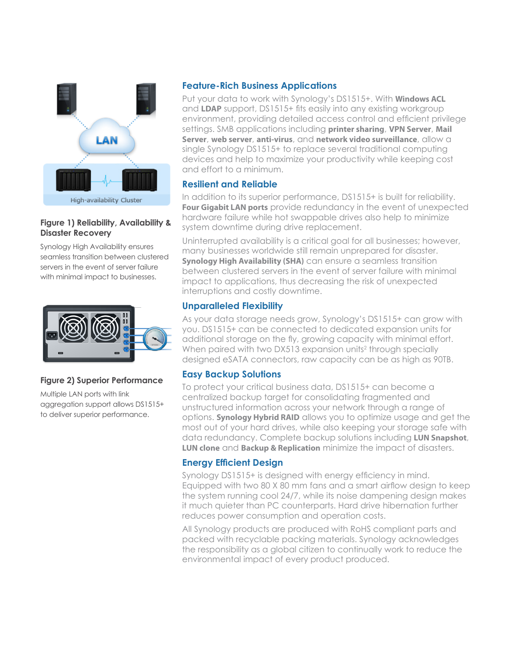

### **Figure 1) Reliability, Availability & Disaster Recovery**

Synology High Availability ensures seamless transition between clustered servers in the event of server failure with minimal impact to businesses.



### **Figure 2) Superior Performance**

Multiple LAN ports with link aggregation support allows DS1515+ to deliver superior performance.

### **Feature-Rich Business Applications**

Put your data to work with Synology's DS1515+. With **Windows ACL** and **LDAP** support, DS1515+ fits easily into any existing workgroup environment, providing detailed access control and efficient privilege settings. SMB applications including **printer sharing**, **VPN Server**, **Mail Server**, **web server**, **anti-virus**, and **network video surveillance**, allow a single Synology DS1515+ to replace several traditional computing devices and help to maximize your productivity while keeping cost and effort to a minimum.

### **Resilient and Reliable**

In addition to its superior performance, DS1515+ is built for reliability. **Four Gigabit LAN ports** provide redundancy in the event of unexpected hardware failure while hot swappable drives also help to minimize system downtime during drive replacement.

Uninterrupted availability is a critical goal for all businesses; however, many businesses worldwide still remain unprepared for disaster. **Synology High Availability (SHA)** can ensure a seamless transition between clustered servers in the event of server failure with minimal impact to applications, thus decreasing the risk of unexpected interruptions and costly downtime.

# **Unparalleled Flexibility**

As your data storage needs grow, Synology's DS1515+ can grow with you. DS1515+ can be connected to dedicated expansion units for additional storage on the fly, growing capacity with minimal effort. When paired with two DX513 expansion units<sup>2</sup> through specially designed eSATA connectors, raw capacity can be as high as 90TB.

# **Easy Backup Solutions**

To protect your critical business data, DS1515+ can become a centralized backup target for consolidating fragmented and unstructured information across your network through a range of options. **Synology Hybrid RAID** allows you to optimize usage and get the most out of your hard drives, while also keeping your storage safe with data redundancy. Complete backup solutions including **LUN Snapshot**, **LUN clone** and **Backup & Replication** minimize the impact of disasters.

# **Energy Efficient Design**

Synology DS1515+ is designed with energy efficiency in mind. Equipped with two 80 X 80 mm fans and a smart airflow design to keep the system running cool 24/7, while its noise dampening design makes it much quieter than PC counterparts. Hard drive hibernation further reduces power consumption and operation costs.

All Synology products are produced with RoHS compliant parts and packed with recyclable packing materials. Synology acknowledges the responsibility as a global citizen to continually work to reduce the environmental impact of every product produced.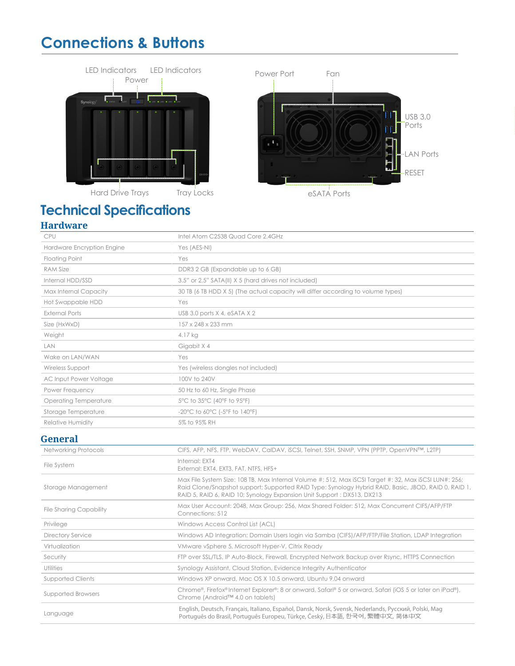# **Connections & Buttons**





eSATA Ports

# **Technical Specifications**

# **Hardware**

| <b>CPU</b>                   | Intel Atom C2538 Quad Core 2.4GHz                                                         |
|------------------------------|-------------------------------------------------------------------------------------------|
| Hardware Encryption Engine   | Yes (AES-NI)                                                                              |
| <b>Floating Point</b>        | Yes                                                                                       |
| <b>RAM Size</b>              | DDR3 2 GB (Expandable up to 6 GB)                                                         |
| Internal HDD/SSD             | 3.5" or 2.5" SATA(II) X 5 (hard drives not included)                                      |
| Max Internal Capacity        | 30 TB (6 TB HDD X 5) (The actual capacity will differ according to volume types)          |
| Hot Swappable HDD            | Yes                                                                                       |
| <b>External Ports</b>        | USB 3.0 ports $X$ 4, eSATA $X$ 2                                                          |
| Size (HxWxD)                 | 157 x 248 x 233 mm                                                                        |
| Weight                       | 4.17 kg                                                                                   |
| LAN                          | Gigabit X 4                                                                               |
| Wake on LAN/WAN              | Yes                                                                                       |
| Wireless Support             | Yes (wireless dongles not included)                                                       |
| AC Input Power Voltage       | 100V to 240V                                                                              |
| Power Frequency              | 50 Hz to 60 Hz, Single Phase                                                              |
| <b>Operating Temperature</b> | 5°C to 35°C (40°F to 95°F)                                                                |
| Storage Temperature          | $-20^{\circ}$ C to 60 $^{\circ}$ C (-5 $^{\circ}$ F to 140 $^{\circ}$ F)                  |
| <b>Relative Humidity</b>     | 5% to 95% RH                                                                              |
| <b>General</b>               |                                                                                           |
| <b>Networking Protocols</b>  | CIFS, AFP, NFS, FTP, WebDAV, CalDAV, iSCSI, Telnet, SSH, SNMP, VPN (PPTP, OpenVPN™, L2TP) |
|                              |                                                                                           |

| File System                    | Internal: EXT4<br>External: EXT4, EXT3, FAT, NTFS, HFS+                                                                                                                                                                                                                                   |
|--------------------------------|-------------------------------------------------------------------------------------------------------------------------------------------------------------------------------------------------------------------------------------------------------------------------------------------|
| Storage Management             | Max File System Size: 108 TB, Max Internal Volume #: 512, Max iSCSI Target #: 32, Max iSCSI LUN#: 256;<br>Raid Clone/Snapshot support; Supported RAID Type: Synology Hybrid RAID, Basic, JBOD, RAID 0, RAID 1,<br>RAID 5, RAID 6, RAID 10; Synology Expansion Unit Support : DX513, DX213 |
| <b>File Sharing Capability</b> | Max User Account: 2048, Max Group: 256, Max Shared Folder: 512, Max Concurrent CIFS/AFP/FTP<br>Connections: 512                                                                                                                                                                           |
| Privilege                      | Windows Access Control List (ACL)                                                                                                                                                                                                                                                         |
| Directory Service              | Windows AD Integration: Domain Users login via Samba (CIFS)/AFP/FTP/File Station, LDAP Integration                                                                                                                                                                                        |
| Virtualization                 | VMware vSphere 5, Microsoft Hyper-V, Citrix Ready                                                                                                                                                                                                                                         |
| Security                       | FTP over SSL/TLS, IP Auto-Block, Firewall, Encrypted Network Backup over Rsync, HTTPS Connection                                                                                                                                                                                          |
| <b>Utilities</b>               | Synology Assistant, Cloud Station, Evidence Integrity Authenticator                                                                                                                                                                                                                       |
| Supported Clients              | Windows XP onward, Mac OS X 10.5 onward, Ubuntu 9.04 onward                                                                                                                                                                                                                               |
| Supported Browsers             | Chrome®, Firefox® Internet Explorer®: 8 or onward, Safari® 5 or onward, Safari (iOS 5 or later on iPad®),<br>Chrome (Android™ 4.0 on tablets)                                                                                                                                             |
| Language                       | English, Deutsch, Français, Italiano, Español, Dansk, Norsk, Svensk, Nederlands, Русский, Polski, Maq<br>Portuquês do Brasil, Portuquês Europeu, Türkçe, Český, 日本語, 한국어, 繁體中文, 简体中文                                                                                                      |